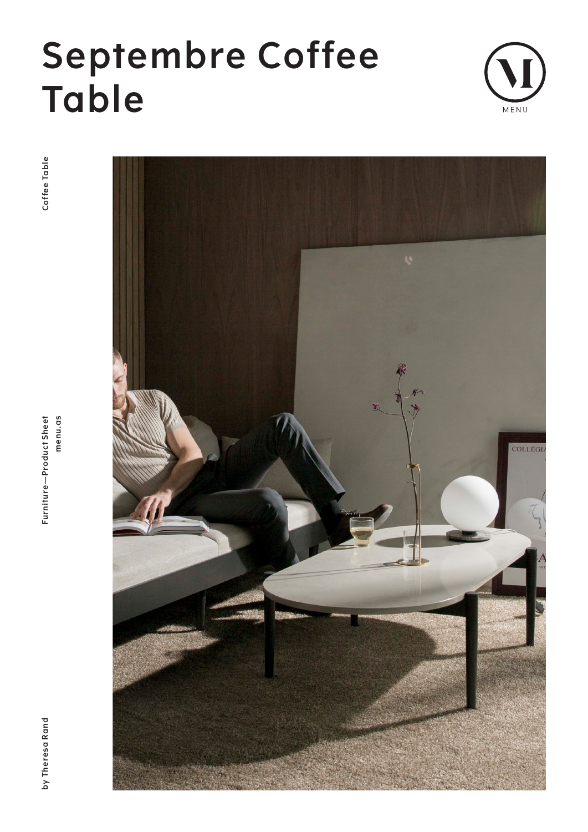# **Septembre Coffee Table**



Coffee Table

**by Theresa Rand Furniture—Product Sheet menu.as Cof fee Table**menu.as Furniture-Product Sheet



by Theresa Rand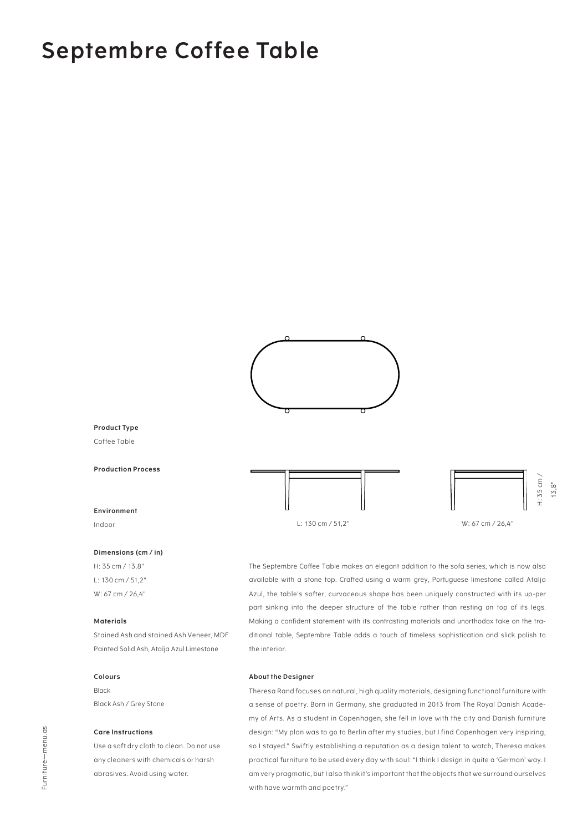### **Septembre Coffee Table**



#### **Product Type**

Coffee Table

**Production Process**

#### **Environment**

Indoor

#### **Dimensions (cm / in)**

H: 35 cm / 13,8" L: 130 cm / 51,2" W: 67 cm / 26,4"

#### **Materials**

Stained Ash and stained Ash Veneer, MDF Painted Solid Ash, Ataíja Azul Limestone

#### **Colours**

Black Black Ash / Grey Stone

#### **Care Instructions**

Use a soft dry cloth to clean. Do not use any cleaners with chemicals or harsh abrasives. Avoid using water.





The Septembre Coffee Table makes an elegant addition to the sofa series, which is now also available with a stone top. Crafted using a warm grey, Portuguese limestone called Ataíja Azul, the table's softer, curvaceous shape has been uniquely constructed with its up-per part sinking into the deeper structure of the table rather than resting on top of its legs. Making a confident statement with its contrasting materials and unorthodox take on the traditional table, Septembre Table adds a touch of timeless sophistication and slick polish to the interior.

#### **About the Designer**

Theresa Rand focuses on natural, high quality materials, designing functional furniture with a sense of poetry. Born in Germany, she graduated in 2013 from The Royal Danish Academy of Arts. As a student in Copenhagen, she fell in love with the city and Danish furniture design: "My plan was to go to Berlin after my studies, but I find Copenhagen very inspiring, so I stayed." Swiftly establishing a reputation as a design talent to watch, Theresa makes practical furniture to be used every day with soul: "I think I design in quite a 'German' way. I am very pragmatic, but I also think it's important that the objects that we surround ourselves with have warmth and poetry."